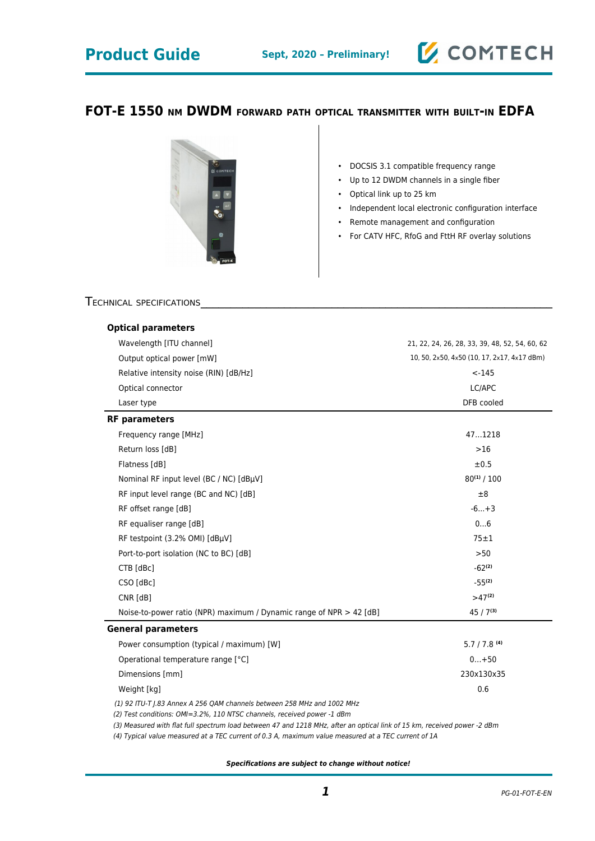## **FOT-E 1550 NM DWDM FORWARD PATH OPTICAL TRANSMITTER WITH BUILT-IN EDFA**



- DOCSIS 3.1 compatible frequency range
- Up to 12 DWDM channels in a single fiber
- Optical link up to 25 km
- Independent local electronic configuration interface

**Z COMTECH** 

- Remote management and configuration
- For CATV HFC, RfoG and FttH RF overlay solutions

### TECHNICAL SPECIFICATIONS

| <b>Optical parameters</b><br>Wavelength [ITU channel]<br>Output optical power [mW]<br>Relative intensity noise (RIN) [dB/Hz] | 21, 22, 24, 26, 28, 33, 39, 48, 52, 54, 60, 62<br>10, 50, 2x50, 4x50 (10, 17, 2x17, 4x17 dBm)<br>$< -145$ |                      |            |
|------------------------------------------------------------------------------------------------------------------------------|-----------------------------------------------------------------------------------------------------------|----------------------|------------|
|                                                                                                                              |                                                                                                           | Optical connector    | LC/APC     |
|                                                                                                                              |                                                                                                           | Laser type           | DFB cooled |
|                                                                                                                              |                                                                                                           | <b>RF</b> parameters |            |
| Frequency range [MHz]                                                                                                        | 471218                                                                                                    |                      |            |
| Return loss [dB]                                                                                                             | $>16$                                                                                                     |                      |            |
| Flatness [dB]                                                                                                                | ±0.5                                                                                                      |                      |            |
| Nominal RF input level (BC / NC) [dBµV]                                                                                      | $80^{(1)}/100$                                                                                            |                      |            |
| RF input level range (BC and NC) [dB]                                                                                        | ±8                                                                                                        |                      |            |
| RF offset range [dB]                                                                                                         | $-6+3$                                                                                                    |                      |            |
| RF equaliser range [dB]                                                                                                      | 06                                                                                                        |                      |            |
| RF testpoint (3.2% OMI) [dBµV]                                                                                               | $75 \pm 1$                                                                                                |                      |            |
| Port-to-port isolation (NC to BC) [dB]                                                                                       | >50                                                                                                       |                      |            |
| CTB [dBc]                                                                                                                    | $-62^{(2)}$                                                                                               |                      |            |
| CSO [dBc]                                                                                                                    | $-55^{(2)}$                                                                                               |                      |            |
| $CNR$ $[dB]$                                                                                                                 | $>47^{(2)}$                                                                                               |                      |            |
| Noise-to-power ratio (NPR) maximum / Dynamic range of NPR > 42 [dB]                                                          | $45/7^{(3)}$                                                                                              |                      |            |
| <b>General parameters</b>                                                                                                    |                                                                                                           |                      |            |
| Power consumption (typical / maximum) [W]                                                                                    | $5.7 / 7.8$ (4)                                                                                           |                      |            |
| Operational temperature range [°C]                                                                                           | $0+50$                                                                                                    |                      |            |
| Dimensions [mm]                                                                                                              | 230x130x35                                                                                                |                      |            |
| Weight [kg]                                                                                                                  | 0.6                                                                                                       |                      |            |
| (1) 92 ITU-T J.83 Annex A 256 QAM channels between 258 MHz and 1002 MHz                                                      |                                                                                                           |                      |            |
|                                                                                                                              |                                                                                                           |                      |            |

(2) Test conditions: OMI=3.2%, 110 NTSC channels, received power -1 dBm

(3) Measured with flat full spectrum load between 47 and 1218 MHz, after an optical link of 15 km, received power -2 dBm

(4) Typical value measured at a TEC current of 0.3 A, maximum value measured at a TEC current of 1A

**Specifications are subject to change without notice!**